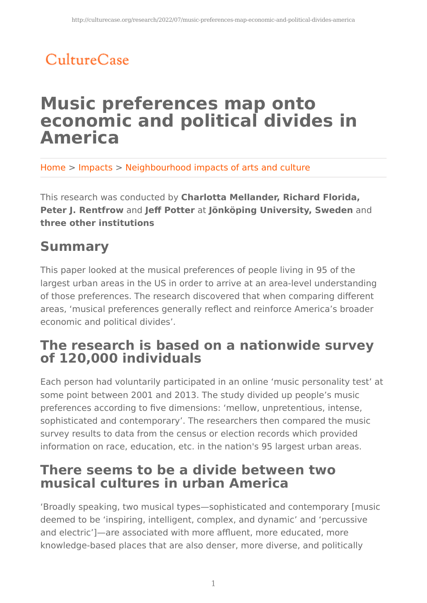# CultureCase

## **Music preferences map onto economic and political divides in America**

Home > Impacts > Neighbourhood impacts of arts and culture

This research was conducted by **Charlotta Mellander, Richard Florida, Peter J. Rentfrow** and **Jeff Potter** at **Jönköping University, Sweden** and **three other institutions**

## **Summary**

This paper looked at the musical preferences of people living in 95 of the largest urban areas in the US in order to arrive at an area-level understanding of those preferences. The research discovered that when comparing different areas, 'musical preferences generally reflect and reinforce America's broader economic and political divides'.

### **The research is based on a nationwide survey of 120,000 individuals**

Each person had voluntarily participated in an online 'music personality test' at some point between 2001 and 2013. The study divided up people's music preferences according to five dimensions: 'mellow, unpretentious, intense, sophisticated and contemporary'. The researchers then compared the music survey results to data from the census or election records which provided information on race, education, etc. in the nation's 95 largest urban areas.

## **There seems to be a divide between two musical cultures in urban America**

'Broadly speaking, two musical types—sophisticated and contemporary [music deemed to be 'inspiring, intelligent, complex, and dynamic' and 'percussive and electric']—are associated with more affluent, more educated, more knowledge-based places that are also denser, more diverse, and politically